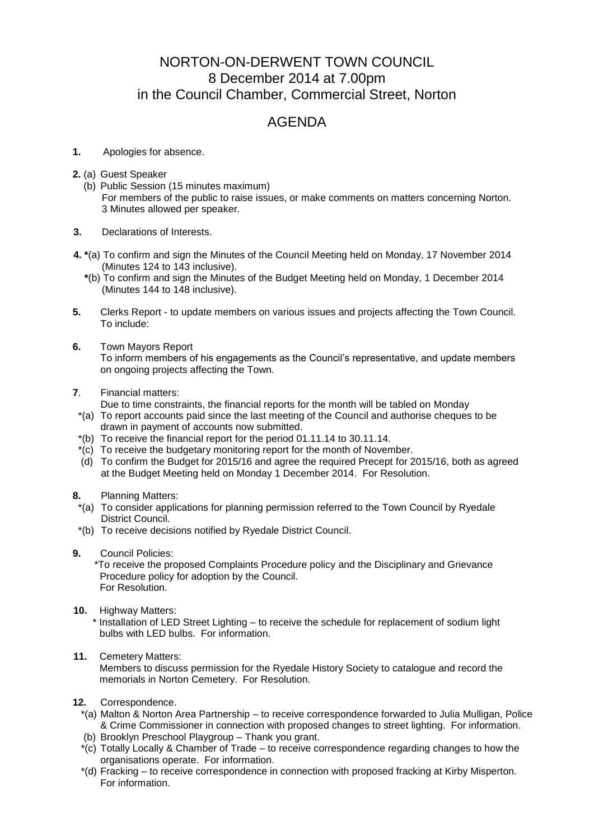## NORTON-ON-DERWENT TOWN COUNCIL 8 December 2014 at 7.00pm in the Council Chamber, Commercial Street, Norton

## AGENDA

- **1.** Apologies for absence.
- **2.** (a) Guest Speaker
	- (b) Public Session (15 minutes maximum) For members of the public to raise issues, or make comments on matters concerning Norton. 3 Minutes allowed per speaker.
- **3.** Declarations of Interests.
- **4. \***(a) To confirm and sign the Minutes of the Council Meeting held on Monday, 17 November 2014 (Minutes 124 to 143 inclusive).
	- **\***(b) To confirm and sign the Minutes of the Budget Meeting held on Monday, 1 December 2014 (Minutes 144 to 148 inclusive).
- **5.** Clerks Report to update members on various issues and projects affecting the Town Council. To include:
- **6.** Town Mayors Report To inform members of his engagements as the Council's representative, and update members on ongoing projects affecting the Town.
- **7**. Financial matters:
	- Due to time constraints, the financial reports for the month will be tabled on Monday
	- \*(a) To report accounts paid since the last meeting of the Council and authorise cheques to be drawn in payment of accounts now submitted.
	- \*(b) To receive the financial report for the period 01.11.14 to 30.11.14.
	- \*(c) To receive the budgetary monitoring report for the month of November.
	- (d) To confirm the Budget for 2015/16 and agree the required Precept for 2015/16, both as agreed at the Budget Meeting held on Monday 1 December 2014. For Resolution.
- **8.** Planning Matters:
- \*(a) To consider applications for planning permission referred to the Town Council by Ryedale District Council.
- \*(b) To receive decisions notified by Ryedale District Council.
- **9.** Council Policies:
	- \*To receive the proposed Complaints Procedure policy and the Disciplinary and Grievance Procedure policy for adoption by the Council. For Resolution.
- **10.** Highway Matters:

 \* Installation of LED Street Lighting – to receive the schedule for replacement of sodium light bulbs with LED bulbs. For information.

## **11.** Cemetery Matters:

Members to discuss permission for the Ryedale History Society to catalogue and record the memorials in Norton Cemetery. For Resolution.

- **12.** Correspondence.
	- \*(a) Malton & Norton Area Partnership to receive correspondence forwarded to Julia Mulligan, Police & Crime Commissioner in connection with proposed changes to street lighting. For information.
	- (b) Brooklyn Preschool Playgroup Thank you grant.
	- \*(c) Totally Locally & Chamber of Trade to receive correspondence regarding changes to how the organisations operate. For information.
	- \*(d) Fracking to receive correspondence in connection with proposed fracking at Kirby Misperton. For information.